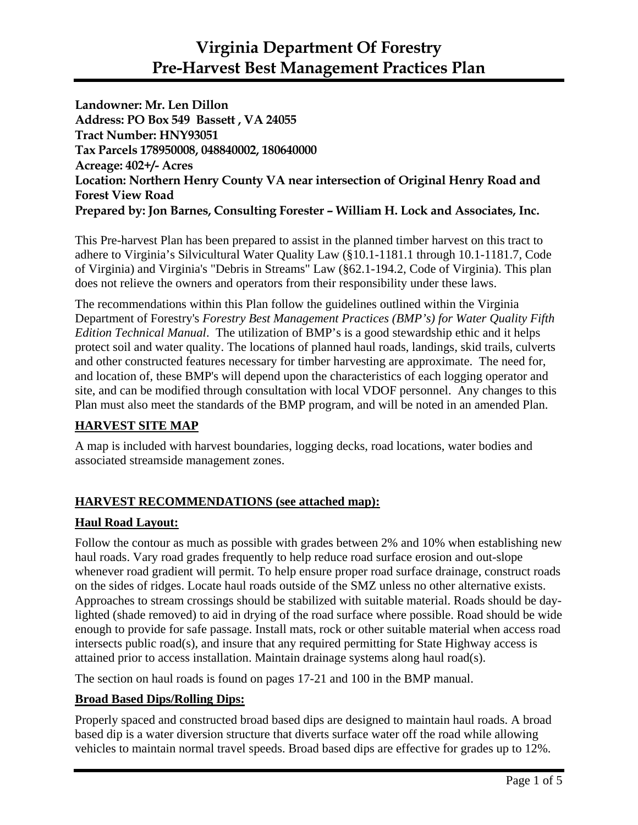**Landowner: Mr. Len Dillon Address: PO Box 549 Bassett , VA 24055 Tract Number: HNY93051 Tax Parcels 178950008, 048840002, 180640000 Acreage: 402+/- Acres Location: Northern Henry County VA near intersection of Original Henry Road and Forest View Road Prepared by: Jon Barnes, Consulting Forester – William H. Lock and Associates, Inc.** 

This Pre-harvest Plan has been prepared to assist in the planned timber harvest on this tract to adhere to Virginia's Silvicultural Water Quality Law (§10.1-1181.1 through 10.1-1181.7, Code of Virginia) and Virginia's "Debris in Streams" Law (§62.1-194.2, Code of Virginia). This plan does not relieve the owners and operators from their responsibility under these laws.

The recommendations within this Plan follow the guidelines outlined within the Virginia Department of Forestry's *Forestry Best Management Practices (BMP's) for Water Quality Fifth Edition Technical Manual*. The utilization of BMP's is a good stewardship ethic and it helps protect soil and water quality. The locations of planned haul roads, landings, skid trails, culverts and other constructed features necessary for timber harvesting are approximate. The need for, and location of, these BMP's will depend upon the characteristics of each logging operator and site, and can be modified through consultation with local VDOF personnel. Any changes to this Plan must also meet the standards of the BMP program, and will be noted in an amended Plan.

# **HARVEST SITE MAP**

A map is included with harvest boundaries, logging decks, road locations, water bodies and associated streamside management zones.

# **HARVEST RECOMMENDATIONS (see attached map):**

# **Haul Road Layout:**

Follow the contour as much as possible with grades between 2% and 10% when establishing new haul roads. Vary road grades frequently to help reduce road surface erosion and out-slope whenever road gradient will permit. To help ensure proper road surface drainage, construct roads on the sides of ridges. Locate haul roads outside of the SMZ unless no other alternative exists. Approaches to stream crossings should be stabilized with suitable material. Roads should be daylighted (shade removed) to aid in drying of the road surface where possible. Road should be wide enough to provide for safe passage. Install mats, rock or other suitable material when access road intersects public road(s), and insure that any required permitting for State Highway access is attained prior to access installation. Maintain drainage systems along haul road(s).

The section on haul roads is found on pages 17-21 and 100 in the BMP manual.

# **Broad Based Dips/Rolling Dips:**

Properly spaced and constructed broad based dips are designed to maintain haul roads. A broad based dip is a water diversion structure that diverts surface water off the road while allowing vehicles to maintain normal travel speeds. Broad based dips are effective for grades up to 12%.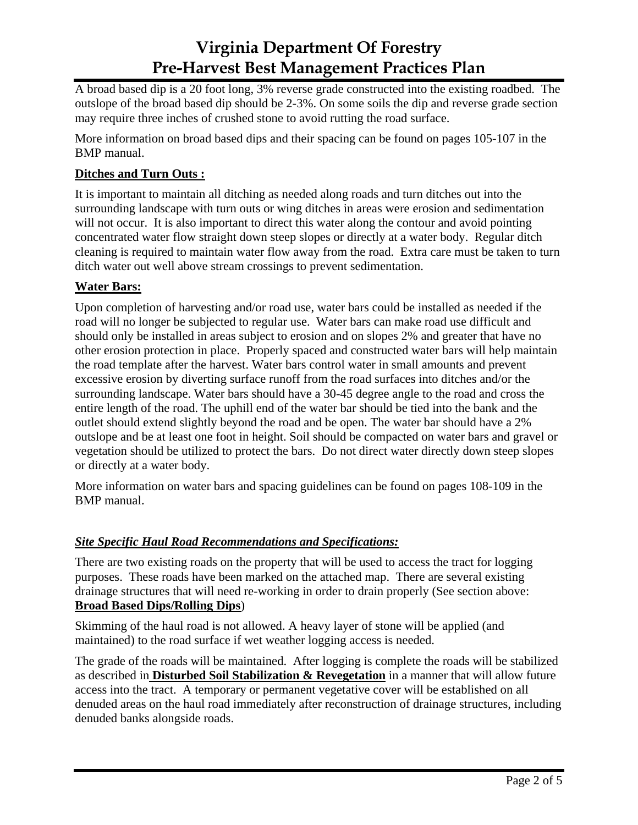A broad based dip is a 20 foot long, 3% reverse grade constructed into the existing roadbed. The outslope of the broad based dip should be 2-3%. On some soils the dip and reverse grade section may require three inches of crushed stone to avoid rutting the road surface.

More information on broad based dips and their spacing can be found on pages 105-107 in the BMP manual.

### **Ditches and Turn Outs :**

It is important to maintain all ditching as needed along roads and turn ditches out into the surrounding landscape with turn outs or wing ditches in areas were erosion and sedimentation will not occur. It is also important to direct this water along the contour and avoid pointing concentrated water flow straight down steep slopes or directly at a water body. Regular ditch cleaning is required to maintain water flow away from the road. Extra care must be taken to turn ditch water out well above stream crossings to prevent sedimentation.

# **Water Bars:**

Upon completion of harvesting and/or road use, water bars could be installed as needed if the road will no longer be subjected to regular use. Water bars can make road use difficult and should only be installed in areas subject to erosion and on slopes 2% and greater that have no other erosion protection in place. Properly spaced and constructed water bars will help maintain the road template after the harvest. Water bars control water in small amounts and prevent excessive erosion by diverting surface runoff from the road surfaces into ditches and/or the surrounding landscape. Water bars should have a 30-45 degree angle to the road and cross the entire length of the road. The uphill end of the water bar should be tied into the bank and the outlet should extend slightly beyond the road and be open. The water bar should have a 2% outslope and be at least one foot in height. Soil should be compacted on water bars and gravel or vegetation should be utilized to protect the bars. Do not direct water directly down steep slopes or directly at a water body.

More information on water bars and spacing guidelines can be found on pages 108-109 in the BMP manual.

#### *Site Specific Haul Road Recommendations and Specifications:*

There are two existing roads on the property that will be used to access the tract for logging purposes. These roads have been marked on the attached map. There are several existing drainage structures that will need re-working in order to drain properly (See section above: **Broad Based Dips/Rolling Dips**)

Skimming of the haul road is not allowed. A heavy layer of stone will be applied (and maintained) to the road surface if wet weather logging access is needed.

The grade of the roads will be maintained. After logging is complete the roads will be stabilized as described in **Disturbed Soil Stabilization & Revegetation** in a manner that will allow future access into the tract. A temporary or permanent vegetative cover will be established on all denuded areas on the haul road immediately after reconstruction of drainage structures, including denuded banks alongside roads.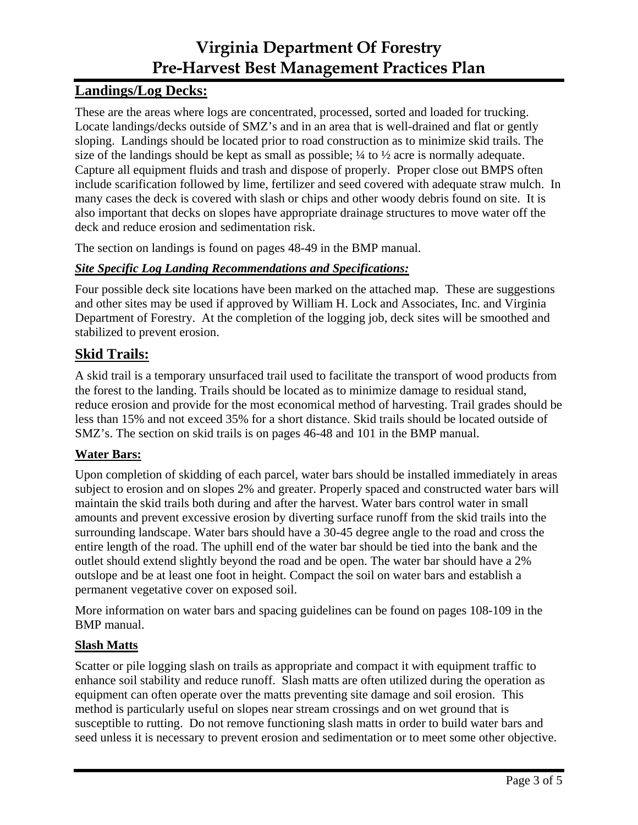# **Landings/Log Decks:**

These are the areas where logs are concentrated, processed, sorted and loaded for trucking. Locate landings/decks outside of SMZ's and in an area that is well-drained and flat or gently sloping. Landings should be located prior to road construction as to minimize skid trails. The size of the landings should be kept as small as possible;  $\frac{1}{4}$  to  $\frac{1}{2}$  acre is normally adequate. Capture all equipment fluids and trash and dispose of properly. Proper close out BMPS often include scarification followed by lime, fertilizer and seed covered with adequate straw mulch. In many cases the deck is covered with slash or chips and other woody debris found on site. It is also important that decks on slopes have appropriate drainage structures to move water off the deck and reduce erosion and sedimentation risk.

The section on landings is found on pages 48-49 in the BMP manual.

# *Site Specific Log Landing Recommendations and Specifications:*

Four possible deck site locations have been marked on the attached map. These are suggestions and other sites may be used if approved by William H. Lock and Associates, Inc. and Virginia Department of Forestry. At the completion of the logging job, deck sites will be smoothed and stabilized to prevent erosion.

# **Skid Trails:**

A skid trail is a temporary unsurfaced trail used to facilitate the transport of wood products from the forest to the landing. Trails should be located as to minimize damage to residual stand, reduce erosion and provide for the most economical method of harvesting. Trail grades should be less than 15% and not exceed 35% for a short distance. Skid trails should be located outside of SMZ's. The section on skid trails is on pages 46-48 and 101 in the BMP manual.

# **Water Bars:**

Upon completion of skidding of each parcel, water bars should be installed immediately in areas subject to erosion and on slopes 2% and greater. Properly spaced and constructed water bars will maintain the skid trails both during and after the harvest. Water bars control water in small amounts and prevent excessive erosion by diverting surface runoff from the skid trails into the surrounding landscape. Water bars should have a 30-45 degree angle to the road and cross the entire length of the road. The uphill end of the water bar should be tied into the bank and the outlet should extend slightly beyond the road and be open. The water bar should have a 2% outslope and be at least one foot in height. Compact the soil on water bars and establish a permanent vegetative cover on exposed soil.

More information on water bars and spacing guidelines can be found on pages 108-109 in the BMP manual.

# **Slash Matts**

Scatter or pile logging slash on trails as appropriate and compact it with equipment traffic to enhance soil stability and reduce runoff. Slash matts are often utilized during the operation as equipment can often operate over the matts preventing site damage and soil erosion. This method is particularly useful on slopes near stream crossings and on wet ground that is susceptible to rutting. Do not remove functioning slash matts in order to build water bars and seed unless it is necessary to prevent erosion and sedimentation or to meet some other objective.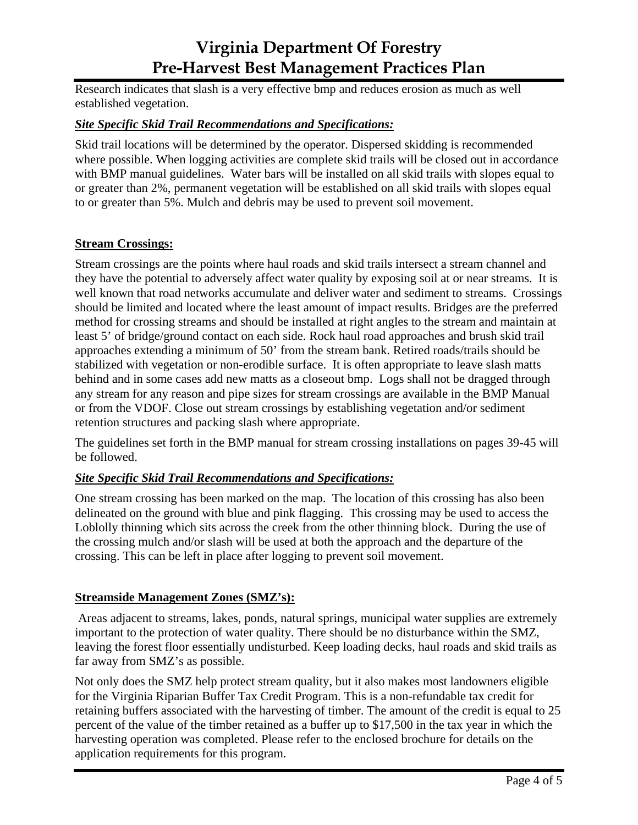Research indicates that slash is a very effective bmp and reduces erosion as much as well established vegetation.

#### *Site Specific Skid Trail Recommendations and Specifications:*

Skid trail locations will be determined by the operator. Dispersed skidding is recommended where possible. When logging activities are complete skid trails will be closed out in accordance with BMP manual guidelines. Water bars will be installed on all skid trails with slopes equal to or greater than 2%, permanent vegetation will be established on all skid trails with slopes equal to or greater than 5%. Mulch and debris may be used to prevent soil movement.

### **Stream Crossings:**

Stream crossings are the points where haul roads and skid trails intersect a stream channel and they have the potential to adversely affect water quality by exposing soil at or near streams. It is well known that road networks accumulate and deliver water and sediment to streams. Crossings should be limited and located where the least amount of impact results. Bridges are the preferred method for crossing streams and should be installed at right angles to the stream and maintain at least 5' of bridge/ground contact on each side. Rock haul road approaches and brush skid trail approaches extending a minimum of 50' from the stream bank. Retired roads/trails should be stabilized with vegetation or non-erodible surface. It is often appropriate to leave slash matts behind and in some cases add new matts as a closeout bmp. Logs shall not be dragged through any stream for any reason and pipe sizes for stream crossings are available in the BMP Manual or from the VDOF. Close out stream crossings by establishing vegetation and/or sediment retention structures and packing slash where appropriate.

The guidelines set forth in the BMP manual for stream crossing installations on pages 39-45 will be followed.

#### *Site Specific Skid Trail Recommendations and Specifications:*

One stream crossing has been marked on the map. The location of this crossing has also been delineated on the ground with blue and pink flagging. This crossing may be used to access the Loblolly thinning which sits across the creek from the other thinning block. During the use of the crossing mulch and/or slash will be used at both the approach and the departure of the crossing. This can be left in place after logging to prevent soil movement.

#### **Streamside Management Zones (SMZ's):**

 Areas adjacent to streams, lakes, ponds, natural springs, municipal water supplies are extremely important to the protection of water quality. There should be no disturbance within the SMZ, leaving the forest floor essentially undisturbed. Keep loading decks, haul roads and skid trails as far away from SMZ's as possible.

Not only does the SMZ help protect stream quality, but it also makes most landowners eligible for the Virginia Riparian Buffer Tax Credit Program. This is a non-refundable tax credit for retaining buffers associated with the harvesting of timber. The amount of the credit is equal to 25 percent of the value of the timber retained as a buffer up to \$17,500 in the tax year in which the harvesting operation was completed. Please refer to the enclosed brochure for details on the application requirements for this program.